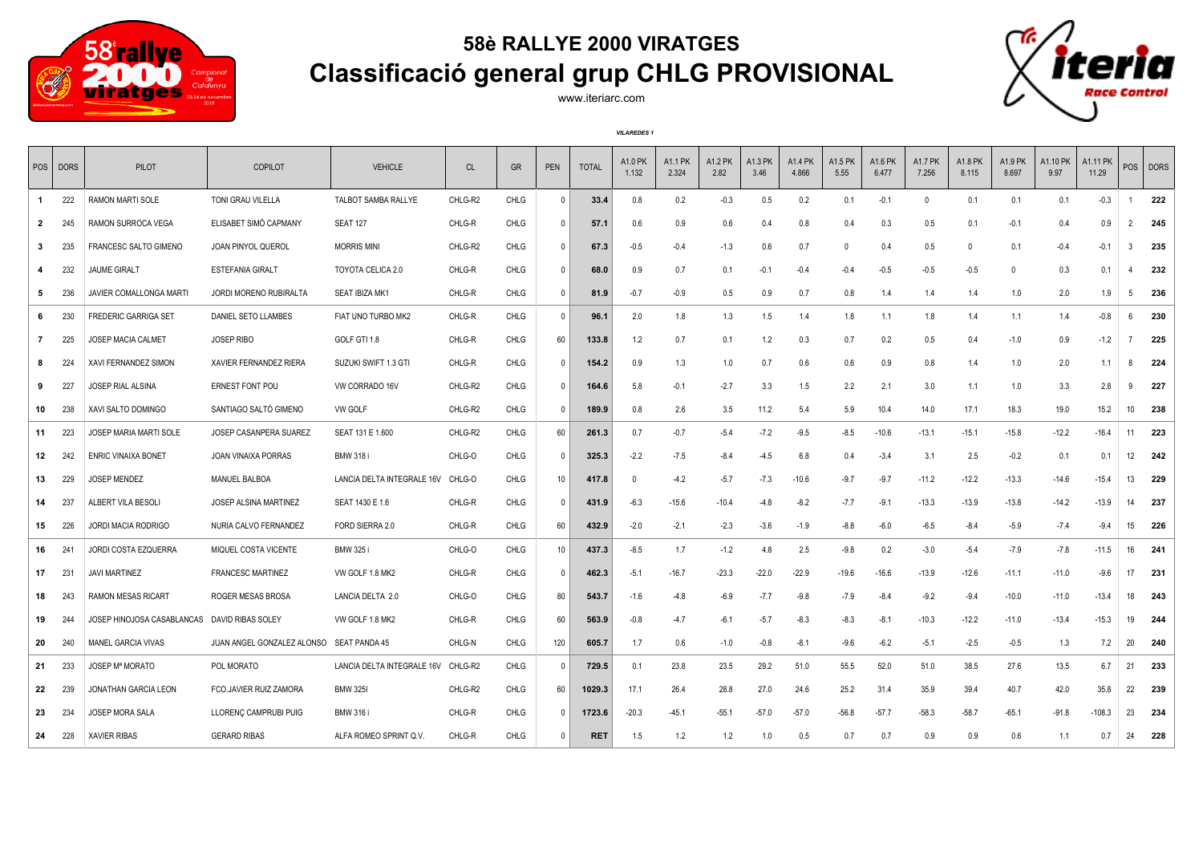

## **58è RALLYE 2000 VIRATGES Classificació general grup CHLG PROVISIONAL**



www.iteriarc.com

*VILAREDES 1*

|              | POS   DORS | PILOT                                        | COPILOT                                  | <b>VEHICLE</b>             | CL      | <b>GR</b>   | PEN          | <b>TOTAL</b> | A1.0 PK<br>1.132 | A1.1 PK<br>2.324 | A1.2 PK<br>2.82 | <b>A1.3 PK</b><br>3.46 | A1.4 PK<br>4.866 | A1.5 PK<br>5.55 | A1.6 PK<br>6.477 | <b>A1.7 PK</b><br>7.256 | A1.8 PK<br>8.115 | A1.9 PK<br>8.697 | A1.10 PK<br>9.97 | A1.11 PK<br>11.29 | POS            | <b>DORS</b> |
|--------------|------------|----------------------------------------------|------------------------------------------|----------------------------|---------|-------------|--------------|--------------|------------------|------------------|-----------------|------------------------|------------------|-----------------|------------------|-------------------------|------------------|------------------|------------------|-------------------|----------------|-------------|
| $\mathbf{1}$ | 222        | RAMON MARTI SOLE                             | TONI GRAU VILELLA                        | TALBOT SAMBA RALLYE        | CHLG-R2 | <b>CHLG</b> | $\Omega$     | 33.4         | 0.8              | 0.2              | $-0.3$          | 0.5                    | 0.2              | 0.1             | $-0.1$           | $\mathbf{0}$            | 0.1              | 0.1              | 0.1              | $-0.3$            |                | 222         |
| $\mathbf{2}$ | 245        | RAMON SURROCA VEGA                           | ELISABET SIMÓ CAPMANY                    | <b>SEAT 127</b>            | CHLG-R  | <b>CHLG</b> | $\Omega$     | 57.1         | 0.6              | 0.9              | 0.6             | 0.4                    | 0.8              | 0.4             | 0.3              | 0.5                     | 0.1              | $-0.1$           | 0.4              | 0.9               | $\overline{2}$ | 245         |
| $\mathbf{3}$ | 235        | FRANCESC SALTO GIMENO                        | JOAN PINYOL QUEROL                       | <b>MORRIS MINI</b>         | CHLG-R2 | CHLG        | $\mathbf{0}$ | 67.3         | $-0.5$           | $-0.4$           | $-1.3$          | 0.6                    | 0.7              | $\Omega$        | 0.4              | 0.5                     | $\Omega$         | 0.1              | $-0.4$           | $-0.1$            | 3              | 235         |
|              | 232        | <b>JAUME GIRALT</b>                          | <b>ESTEFANIA GIRALT</b>                  | TOYOTA CELICA 2.0          | CHLG-R  | <b>CHLG</b> | $\Omega$     | 68.0         | 0.9              | 0.7              | 0.1             | $-0.1$                 | $-0.4$           | $-0.4$          | $-0.5$           | $-0.5$                  | $-0.5$           | $\mathbf{0}$     | 0.3              | 0.1               |                | 232         |
| 5            | 236        | JAVIER COMALLONGA MARTI                      | JORDI MORENO RUBIRALTA                   | SEAT IBIZA MK1             | CHLG-R  | CHLG        | 0            | 81.9         | $-0.7$           | $-0.9$           | 0.5             | 0.9                    | 0.7              | 0.8             | 1.4              | 1.4                     | 1.4              | 1.0              | 2.0              | 1.9               | 5              | 236         |
| 6            | 230        | <b>FREDERIC GARRIGA SET</b>                  | DANIEL SETO LLAMBES                      | FIAT UNO TURBO MK2         | CHLG-R  | <b>CHLG</b> | $\mathbf{0}$ | 96.1         | 2.0              | 1.8              | 1.3             | 1.5                    | 1.4              | 1.8             | 1.1              | 1.8                     | 1.4              | 1.1              | 1.4              | $-0.8$            | 6              | 230         |
| $\mathbf{7}$ | 225        | JOSEP MACIA CALMET                           | <b>JOSEP RIBO</b>                        | GOLF GTI 1.8               | CHLG-R  | <b>CHLG</b> | 60           | 133.8        | 1.2              | 0.7              | 0.1             | 1.2                    | 0.3              | 0.7             | 0.2              | 0.5                     | 0.4              | $-1.0$           | 0.9              | $-1.2$            |                | 225         |
| 8            | 224        | <b>XAVI FERNANDEZ SIMON</b>                  | XAVIER FERNANDEZ RIERA                   | SUZUKI SWIFT 1.3 GTI       | CHLG-R  | CHLG        | 0            | 154.2        | 0.9              | 1.3              | 1.0             | 0.7                    | 0.6              | 0.6             | 0.9              | 0.8                     | 1.4              | 1.0              | 2.0              | 1.1               | 8              | 224         |
| 9            | 227        | <b>JOSEP RIAL ALSINA</b>                     | <b>ERNEST FONT POU</b>                   | VW CORRADO 16V             | CHLG-R2 | <b>CHLG</b> | $\mathbf{0}$ | 164.6        | 5.8              | $-0.1$           | $-2.7$          | 3.3                    | 1.5              | 2.2             | 2.1              | 3.0                     | 1.1              | 1.0              | 3.3              | 2.8               | 9              | 227         |
| 10           | 238        | XAVI SALTO DOMINGO                           | SANTIAGO SALTÓ GIMENO                    | <b>VW GOLF</b>             | CHLG-R2 | <b>CHLG</b> | 0            | 189.9        | 0.8              | 2.6              | 3.5             | 11.2                   | 5.4              | 5.9             | 10.4             | 14.0                    | 17.1             | 18.3             | 19.0             | 15.2              | 10             | 238         |
| 11           | 223        | <b>JOSEP MARIA MARTI SOLE</b>                | JOSEP CASANPERA SUAREZ                   | SEAT 131 E 1.600           | CHLG-R2 | <b>CHLG</b> | 60           | 261.3        | 0.7              | $-0.7$           | $-5.4$          | $-7.2$                 | $-9.5$           | $-8.5$          | $-10.6$          | $-13.1$                 | $-15.1$          | $-15.8$          | $-12.2$          | $-16.4$           | 11             | 223         |
| 12           | 242        | <b>ENRIC VINAIXA BONET</b>                   | <b>JOAN VINAIXA PORRAS</b>               | <b>BMW 318 i</b>           | CHLG-O  | <b>CHLG</b> | $\Omega$     | 325.3        | $-2.2$           | $-7.5$           | $-8.4$          | $-4.5$                 | 6.8              | 0.4             | $-3.4$           | 3.1                     | 2.5              | $-0.2$           | 0.1              | 0.1               | 12             | 242         |
| 13           | 229        | <b>JOSEP MENDEZ</b>                          | <b>MANUEL BALBOA</b>                     | LANCIA DELTA INTEGRALE 16V | CHLG-O  | <b>CHLG</b> | 10           | 417.8        | $\overline{0}$   | $-4.2$           | $-5.7$          | $-7.3$                 | $-10.6$          | $-9.7$          | $-9.7$           | $-11.2$                 | $-12.2$          | $-13.3$          | $-14.6$          | $-15.4$           | 13             | 229         |
| 14           | 237        | ALBERT VILA BESOLI                           | JOSEP ALSINA MARTINEZ                    | SEAT 1430 E 1.6            | CHLG-R  | CHLG        | $\mathbf{0}$ | 431.9        | $-6.3$           | $-15.6$          | $-10.4$         | $-4.8$                 | $-8.2$           | $-7.7$          | $-9.1$           | $-13.3$                 | $-13.9$          | $-13.8$          | $-14.2$          | $-13.9$           | 14             | 237         |
| 15           | 226        | JORDI MACIA RODRIGO                          | NURIA CALVO FERNANDEZ                    | FORD SIERRA 2.0            | CHLG-R  | <b>CHLG</b> | 60           | 432.9        | $-2.0$           | $-2.1$           | $-2.3$          | $-3.6$                 | $-1.9$           | $-8.8$          | $-6.0$           | $-6.5$                  | $-8.4$           | $-5.9$           | $-7.4$           | $-9.4$            | 15             | 226         |
| 16           | 24         | <b>JORDI COSTA EZQUERRA</b>                  | MIQUEL COSTA VICENTE                     | <b>BMW 325 i</b>           | CHLG-O  | <b>CHLG</b> | 10           | 437.3        | $-8.5$           | 1.7              | $-1.2$          | 4.8                    | 2.5              | $-9.8$          | 0.2              | $-3.0$                  | $-5.4$           | $-7.9$           | $-7.8$           | $-11.5$           | 16             | 241         |
| 17           | 231        | <b>JAVI MARTINEZ</b>                         | <b>FRANCESC MARTINEZ</b>                 | VW GOLF 1.8 MK2            | CHLG-R  | <b>CHLG</b> | $\Omega$     | 462.3        | $-5.1$           | $-16.7$          | $-23.3$         | $-22.0$                | $-22.9$          | $-19.6$         | $-16.6$          | -13.9                   | $-12.6$          | $-11.1$          | $-11.0$          | $-9.6$            | 17             | 231         |
| 18           | 243        | RAMON MESAS RICART                           | ROGER MESAS BROSA                        | LANCIA DELTA 2.0           | CHLG-O  | CHLG        | 80           | 543.7        | $-1.6$           | $-4.8$           | $-6.9$          | $-7.7$                 | $-9.8$           | $-7.9$          | $-8.4$           | $-9.2$                  | $-9.4$           | $-10.0$          | $-11.0$          | $-13.4$           | 18             | 243         |
| 19           | 244        | JOSEP HINOJOSA CASABLANCAS DAVID RIBAS SOLEY |                                          | VW GOLF 1.8 MK2            | CHLG-R  | <b>CHLG</b> | 60           | 563.9        | $-0.8$           | $-4.7$           | $-6.1$          | $-5.7$                 | $-8.3$           | $-8.3$          | $-8.1$           | $-10.3$                 | $-12.2$          | $-11.0$          | $-13.4$          | $-15.3$           | 19             | 244         |
| 20           | 240        | MANEL GARCIA VIVAS                           | JUAN ANGEL GONZALEZ ALONSO SEAT PANDA 45 |                            | CHLG-N  | CHLG        | 120          | 605.7        | 1.7              | 0.6              | $-1.0$          | $-0.8$                 | $-8.1$           | $-9.6$          | $-6.2$           | $-5.1$                  | $-2.5$           | $-0.5$           | 1.3              | 7.2               | 20             | 240         |
| 21           | 233        | <b>JOSEP Mª MORATO</b>                       | POL MORATO                               | LANCIA DELTA INTEGRALE 16V | CHLG-R2 | <b>CHLG</b> | 0            | 729.5        | 0.1              | 23.8             | 23.5            | 29.2                   | 51.0             | 55.5            | 52.0             | 51.0                    | 38.5             | 27.6             | 13.5             | 6.7               | 21             | 233         |
| 22           | 239        | <b>JONATHAN GARCIA LEON</b>                  | FCO.JAVIER RUIZ ZAMORA                   | <b>BMW 325I</b>            | CHLG-R2 | <b>CHLG</b> | 60           | 1029.3       | 17.1             | 26.4             | 28.8            | 27.0                   | 24.6             | 25.2            | 31.4             | 35.9                    | 39.4             | 40.7             | 42.0             | 35.8              | 22             | 239         |
| 23           | 234        | <b>JOSEP MORA SALA</b>                       | LLORENC CAMPRUBI PUIG                    | <b>BMW 316 i</b>           | CHLG-R  | <b>CHLG</b> | $\mathsf{O}$ | 1723.6       | $-20.3$          | $-45.1$          | $-55.1$         | $-57.0$                | $-57.0$          | $-56.8$         | $-57.7$          | $-58.3$                 | $-58.7$          | $-65.1$          | $-91.8$          | $-108.3$          | 23             | 234         |
| 24           | 228        | <b>XAVIER RIBAS</b>                          | <b>GERARD RIBAS</b>                      | ALFA ROMEO SPRINT Q.V.     | CHLG-R  | <b>CHLG</b> | $\mathbf{0}$ | <b>RET</b>   | 1.5              | 1.2              | 1.2             | 1.0                    | 0.5              | 0.7             | 0.7              | 0.9                     | 0.9              | 0.6              | 1.1              | 0.7               | 24             | 228         |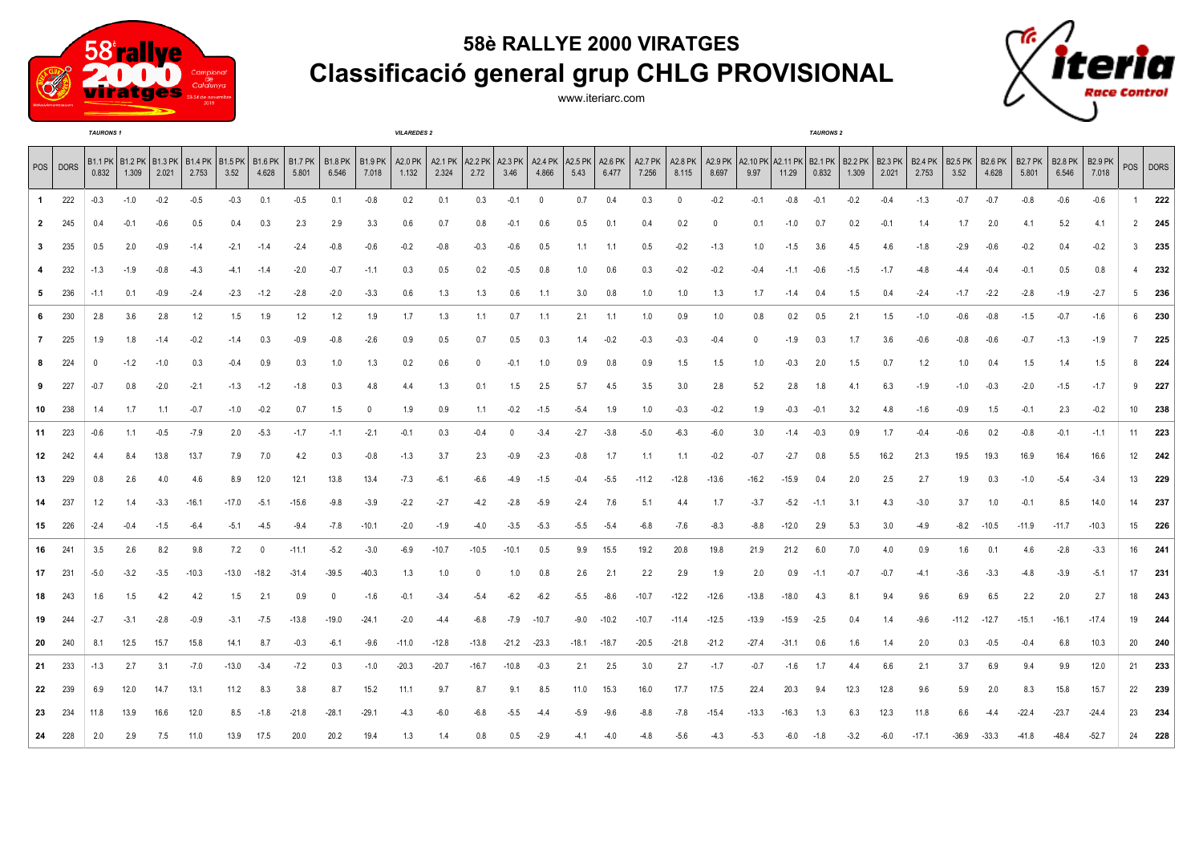

## **58è RALLYE 2000 VIRATGES Classificació general grup CHLG PROVISIONAL**

www.iteriarc.com



|              |          | <b>TAURONS1</b> |        |        |         |                                                                   |              |                  |                            |         | <b>VILAREDES 2</b> |                            |                           |         |            |                                     |         |                         |              |                            |                                                           |         | <b>TAURONS 2</b> |        |        |                         |                        |                         |                         |                         |                         |                 |          |
|--------------|----------|-----------------|--------|--------|---------|-------------------------------------------------------------------|--------------|------------------|----------------------------|---------|--------------------|----------------------------|---------------------------|---------|------------|-------------------------------------|---------|-------------------------|--------------|----------------------------|-----------------------------------------------------------|---------|------------------|--------|--------|-------------------------|------------------------|-------------------------|-------------------------|-------------------------|-------------------------|-----------------|----------|
|              | POS DORS | 0.832           | 1.309  | 2.021  | 2.753   | B1.1 PK   B1.2 PK   B1.3 PK   B1.4 PK   B1.5 PK   B1.6 PK<br>3.52 | 4.628        | B1.7 PK<br>5.801 | B1.8 PK   B1.9 PK<br>6.546 | 7.018   | 1.132              | A2.0 PK   A2.1 PK<br>2.324 | A2.2 PK   A2.3 PK<br>2.72 | 3.46    | 4.866      | A2.4 PK   A2.5 PK   A2.6 PK<br>5.43 | 6.477   | <b>A2.7 PK</b><br>7.256 | 8.115        | A2.8 PK   A2.9 PK<br>8.697 | A2.10 PK   A2.11 PK   B2.1 PK   B2.2 PK   B2.3 PK<br>9.97 | 11.29   | 0.832            | 1.309  | 2.021  | <b>B2.4 PK</b><br>2.753 | <b>B2.5 PK</b><br>3.52 | <b>B2.6 PK</b><br>4.628 | <b>B2.7 PK</b><br>5.801 | <b>B2.8 PK</b><br>6.546 | <b>B2.9 PK</b><br>7.018 |                 | POS DORS |
| $\mathbf{1}$ | 222      | $-0.3$          | $-1.0$ | $-0.2$ | $-0.5$  | $-0.3$                                                            | 0.1          | $-0.5$           | 0.1                        | $-0.8$  | 0.2                | 0.1                        | 0.3                       | $-0.1$  | $^{\circ}$ | 0.7                                 | 0.4     | 0.3                     | $\mathbf{0}$ | $-0.2$                     | $-0.1$                                                    | $-0.8$  | $-0.1$           | $-0.2$ | $-0.4$ | $-1.3$                  | $-0.7$                 | $-0.7$                  | $-0.8$                  | $-0.6$                  | $-0.6$                  | 1               | 222      |
| $\mathbf{2}$ | 245      | 0.4             | $-0.1$ | $-0.6$ | 0.5     | 0.4                                                               | 0.3          | 2.3              | 2.9                        | 3.3     | 0.6                | 0.7                        | 0.8                       | $-0.1$  | 0.6        | $0.5\,$                             | 0.1     | 0.4                     | 0.2          | $\Omega$                   | 0.1                                                       | $-1.0$  | 0.7              | 0.2    | $-0.1$ | 1.4                     | 1.7                    | 2.0                     | 4.1                     | 5.2                     | 4.1                     |                 | $2$ 245  |
| 3            | 235      | 0.5             | 2.0    | $-0.9$ | $-1.4$  | $-2.1$                                                            | $-1.4$       | $-2.4$           | $-0.8$                     | $-0.6$  | $-0.2$             | $-0.8$                     | $-0.3$                    | $-0.6$  | 0.5        | 1.1                                 | 1.1     | 0.5                     | $-0.2$       | $-1.3$                     | 1.0                                                       | $-1.5$  | 3.6              | 4.5    | 4.6    | $-1.8$                  | $-2.9$                 | $-0.6$                  | $-0.2$                  | 0.4                     | $-0.2$                  | $\mathbf{3}$    | 235      |
| 4            | 232      | $-1.3$          | $-1.9$ | $-0.8$ | $-4.3$  | $-4.1$                                                            | $-1.4$       | $-2.0$           | $-0.7$                     | $-1.1$  | 0.3                | 0.5                        | 0.2                       | $-0.5$  | 0.8        | 1.0                                 | 0.6     | 0.3                     | $-0.2$       | $-0.2$                     | $-0.4$                                                    | $-1.1$  | $-0.6$           | $-1.5$ | $-1.7$ | $-4.8$                  | $-4.4$                 | $-0.4$                  | $-0.1$                  | 0.5                     | 0.8                     | 4               | 232      |
| 5            | 236      | $-1.1$          | 0.1    | $-0.9$ | $-2.4$  | $-2.3$                                                            | $-1.2$       | $-2.8$           | $-2.0$                     | $-3.3$  | 0.6                | 1.3                        | 1.3                       | 0.6     | 1.1        | 3.0                                 | 0.8     | 1.0                     | 1.0          | 1.3                        | 1.7                                                       | $-1.4$  | 0.4              | 1.5    | 0.4    | $-2.4$                  | $-1.7$                 | $-2.2$                  | $-2.8$                  | $-1.9$                  | $-2.7$                  |                 | $5$ 236  |
| 6            | 230      | 2.8             | 3.6    | 2.8    | 1.2     | 1.5                                                               | 1.9          | 1.2              | 1.2                        | 1.9     | 1.7                | 1.3                        | 1.1                       | 0.7     | 1.1        | 2.1                                 | 1.1     | 1.0                     | 0.9          | 1.0                        | 0.8                                                       | 0.2     | 0.5              | 2.1    | 1.5    | $-1.0$                  | $-0.6$                 | $-0.8$                  | $-1.5$                  | $-0.7$                  | $-1.6$                  |                 | 6 230    |
| $\mathbf{7}$ | 225      | 1.9             | 1.8    | $-1.4$ | $-0.2$  | $-1.4$                                                            | 0.3          | $-0.9$           | $-0.8$                     | $-2.6$  | 0.9                | 0.5                        | 0.7                       | 0.5     | 0.3        | 1.4                                 | $-0.2$  | $-0.3$                  | $-0.3$       | $-0.4$                     |                                                           | $-1.9$  | 0.3              | 1.7    | 3.6    | $-0.6$                  | $-0.8$                 | $-0.6$                  | $-0.7$                  | $-1.3$                  | $-1.9$                  |                 | $7$ 225  |
| 8            | 224      | 0               | $-1.2$ | $-1.0$ | 0.3     | $-0.4$                                                            | 0.9          | 0.3              | 1.0                        | 1.3     | 0.2                | 0.6                        |                           | -0.1    | 1.0        | 0.9                                 | 0.8     | 0.9                     | 1.5          | 1.5                        | 1.0                                                       | $-0.3$  | 2.0              | 1.5    | 0.7    | 1.2                     | 1.0                    | 0.4                     | 1.5                     | 1.4                     | 1.5                     | 8               | 224      |
| 9            | 227      | $-0.7$          | 0.8    | $-2.0$ | $-2.1$  | $-1.3$                                                            | $-1.2$       | $-1.8$           | 0.3                        | 4.8     | 4.4                | 1.3                        | 0.1                       | 1.5     | 2.5        | 5.7                                 | 4.5     | 3.5                     | 3.0          | 2.8                        | 5.2                                                       | 2.8     | 1.8              | 4.1    | 6.3    | $-1.9$                  | $-1.0$                 | $-0.3$                  | $-2.0$                  | $-1.5$                  | $-1.7$                  | 9               | 227      |
| 10           | 238      | 1.4             | 1.7    | 1.1    | $-0.7$  | $-1.0$                                                            | $-0.2$       | 0.7              | 1.5                        | 0       | 1.9                | 0.9                        | 1.1                       | $-0.2$  | $-1.5$     | $-5.4$                              | 1.9     | 1.0                     | $-0.3$       | $-0.2$                     | 1.9                                                       | $-0.3$  | $-0.1$           | 3.2    | 4.8    | $-1.6$                  | $-0.9$                 | 1.5                     | $-0.1$                  | 2.3                     | $-0.2$                  | 10 <sup>1</sup> | 238      |
| 11           | 223      | $-0.6$          | 1.1    | $-0.5$ | $-7.9$  | 2.0                                                               | $-5.3$       | $-1.7$           | $-1.1$                     | $-2.1$  | $-0.1$             | 0.3                        | $-0.4$                    | 0       | $-3.4$     | $-2.7$                              | $-3.8$  | $-5.0$                  | $-6.3$       | $-6.0$                     | 3.0                                                       | $-1.4$  | $-0.3$           | 0.9    | 1.7    | $-0.4$                  | $-0.6$                 | 0.2                     | $-0.8$                  | $-0.1$                  | $-1.1$                  |                 | 11 223   |
| 12           | 242      | 44              | 8.4    | 13.8   | 13.7    | 7.9                                                               | 7.0          | 4.2              | 0.3                        | $-0.8$  | $-1.3$             | 3.7                        | 2.3                       | -0.9    | $-2.3$     | $-0.8$                              | 1.7     | 1.1                     | 1.1          | $-0.2$                     | $-0.7$                                                    | $-2.7$  | 0.8              | 5.5    | 16.2   | 21.3                    | 19.5                   | 19.3                    | 16.9                    | 16.4                    | 16.6                    | 12              | 242      |
| 13           | 229      | 0.8             | 2.6    | 4.0    | 4.6     | 8.9                                                               | 12.0         | 12.1             | 13.8                       | 13.4    | $-7.3$             | $-6.1$                     | -6.6                      | -4.9    | $-1.5$     | $-0.4$                              | $-5.5$  | $-11.2$                 | $-12.8$      | $-13.6$                    | $-16.2$                                                   | $-15.9$ | 0.4              | 2.0    | 2.5    | 2.7                     | 1.9                    | 0.3                     | $-1.0$                  | $-5.4$                  | $-3.4$                  | 13              | 229      |
| 14           | 237      | 1.2             | 1.4    | $-3.3$ | $-16.1$ | $-17.0$                                                           | $-5.1$       | $-15.6$          | $-9.8$                     | $-3.9$  | $-2.2$             | $-2.7$                     | $-4.2$                    | $-2.8$  | $-5.9$     | $-2.4$                              | 7.6     | 5.1                     | 4.4          | 1.7                        | $-3.7$                                                    | $-5.2$  | $-1.1$           | 3.1    | 4.3    | $-3.0$                  | 3.7                    | 1.0                     | $-0.1$                  | 8.5                     | 14.0                    | 14              | 237      |
| 15           | 226      | $-2.4$          | $-0.4$ | $-1.5$ | $-6.4$  | $-5.1$                                                            | $-4.5$       | $-9.4$           | $-7.8$                     | $-10.1$ | $-2.0$             | $-1.9$                     | $-4.0$                    | $-3.5$  | $-5.3$     | $-5.5$                              | $-5.4$  | $-6.8$                  | -7.6         | $-8.3$                     | $-8.8$                                                    | $-12.0$ | 2.9              | 5.3    | 3.0    | $-4.9$                  | -8.2                   | $-10.5$                 | $-11.9$                 | $-11.7$                 | $-10.3$                 | 15              | 226      |
| 16           | 241      | 3.5             | 2.6    | 8.2    | 9.8     | 7.2                                                               | $\mathbf{0}$ | $-11.1$          | $-5.2$                     | $-3.0$  | $-6.9$             | $-10.7$                    | $-10.5$                   | $-10.1$ | 0.5        | 9.9                                 | 15.5    | 19.2                    | 20.8         | 19.8                       | 21.9                                                      | 21.2    | 6.0              | 7.0    | 4.0    | 0.9                     | 1.6                    | 0.1                     | 4.6                     | $-2.8$                  | $-3.3$                  | 16              | 241      |
| 17           | 231      | $-5.0$          | $-3.2$ | $-3.5$ | $-10.3$ | $-13.0$                                                           | $-18.2$      | $-31.4$          | $-39.5$                    | $-40.3$ | 1.3                | 1.0                        |                           | 1.0     | 0.8        | 2.6                                 | 2.1     | 2.2                     | 2.9          | 1.9                        | 2.0                                                       | 0.9     | $-1.1$           | $-0.7$ | $-0.7$ | $-4.1$                  | $-3.6$                 | $-3.3$                  | -4.8                    | $-3.9$                  | $-5.1$                  |                 | 17 231   |
| 18           | 243      | 1.6             | 1.5    | 4.2    | 4.2     | 1.5                                                               | 2.1          | 0.9              | $\Omega$                   | $-1.6$  | $-0.1$             | $-3.4$                     | $-5.4$                    | $-6.2$  | $-6.2$     | $-5.5$                              | $-8.6$  | $-10.7$                 | $-12.2$      | $-12.6$                    | $-13.8$                                                   | $-18.0$ | 4.3              | 8.1    | 9.4    | 9.6                     | 6.9                    | 6.5                     | 2.2                     | 2.0                     | 2.7                     |                 | 18 243   |
| 19           | 244      | $-2.7$          | $-3.1$ | $-2.8$ | $-0.9$  | $-3.1$                                                            | $-7.5$       | $-13.8$          | $-19.0$                    | $-24.1$ | $-2.0$             | $-4.4$                     | $-6.8$                    | $-7.9$  | $-10.7$    | $-9.0$                              | $-10.2$ | $-10.7$                 | $-11.4$      | $-12.5$                    | $-13.9$                                                   | $-15.9$ | $-2.5$           | 0.4    | 1.4    | $-9.6$                  | $-11.2$                | $-12.7$                 | $-15.1$                 | $-16.1$                 | $-17.4$                 | 19              | 244      |
| 20           | 240      | 8.1             | 12.5   | 15.7   | 15.8    | 14.1                                                              | 8.7          | $-0.3$           | $-6.1$                     | $-9.6$  | $-11.0$            | $-12.8$                    | $-13.8$                   | $-21.2$ | $-23.3$    | $-18.1$                             | $-18.7$ | $-20.5$                 | $-21.8$      | $-21.2$                    | $-27.4$                                                   | $-31.1$ | 0.6              | 1.6    | 1.4    | 2.0                     | 0.3                    | $-0.5$                  | $-0.4$                  | 6.8                     | 10.3                    | 20              | 240      |
| 21           | 233      | $-1.3$          | 2.7    | 3.1    | $-7.0$  | $-13.0$                                                           | $-3.4$       | $-7.2$           | 0.3                        | $-1.0$  | $-20.3$            | $-20.7$                    | $-16.7$                   | $-10.8$ | $-0.3$     | 2.1                                 | 2.5     | 3.0                     | 2.7          | $-1.7$                     | $-0.7$                                                    | $-1.6$  | 1.7              | 4.4    | 6.6    | 2.1                     | 3.7                    | 6.9                     | 9.4                     | 9.9                     | 12.0                    | 21              | 233      |
| 22           | 239      | 6.9             | 12.0   | 14.7   | 13.1    | 11.2                                                              | 8.3          | 3.8              | 8.7                        | 15.2    | 11.1               | 9.7                        | 8.7                       | 9.1     | 8.5        | 11.0                                | 15.3    | 16.0                    | 17.7         | 17.5                       | 22.4                                                      | 20.3    | 9.4              | 12.3   | 12.8   | 9.6                     | 5.9                    | 2.0                     | 8.3                     | 15.8                    | 15.7                    | 22              | 239      |
| 23           | 234      | 11.8            | 13.9   | 16.6   | 12.0    | 8.5                                                               | $-1.8$       | $-21.8$          | $-28.1$                    | $-29.1$ | $-4.3$             | $-6.0$                     | $-6.8$                    | $-5.5$  | $-4.4$     | $-5.9$                              | $-9.6$  | $-8.8$                  | $-7.8$       | $-15.4$                    | $-13.3$                                                   | $-16.3$ | 1.3              | 6.3    | 12.3   | 11.8                    | 6.6                    | $-4.4$                  | $-22.4$                 | $-23.7$                 | $-24.4$                 |                 | 23 234   |
| 24           | 228      | 2.0             | 2.9    | 7.5    | 11.0    | 13.9                                                              | 17.5         | 20.0             | 20.2                       | 19.4    | 1.3                | 1.4                        | 0.8                       | 0.5     | $-2.9$     | $-4.1$                              | $-4.0$  | $-4.8$                  | $-5.6$       | $-4.3$                     | $-5.3$                                                    | $-6.0$  | $-1.8$           | $-3.2$ | $-6.0$ | $-17.1$                 | -36.9                  | $-33.3$                 | $-41.8$                 | $-48.4$                 | $-52.7$                 | 24              | 228      |